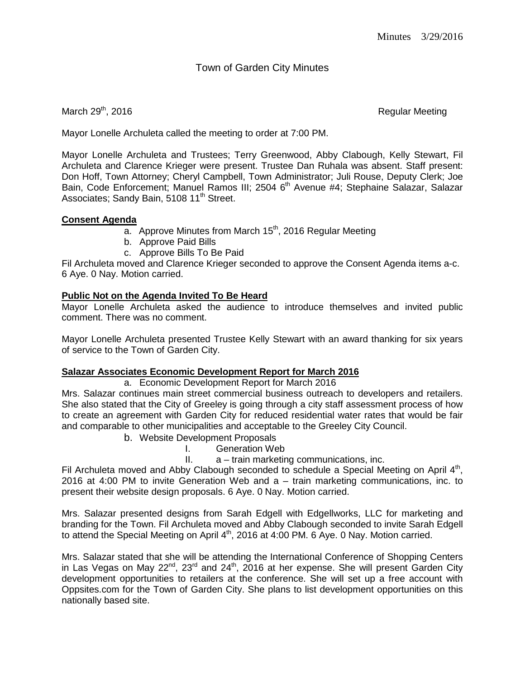# Town of Garden City Minutes

#### March  $29<sup>th</sup>$ , 2016  $\blacksquare$

Mayor Lonelle Archuleta called the meeting to order at 7:00 PM.

Mayor Lonelle Archuleta and Trustees; Terry Greenwood, Abby Clabough, Kelly Stewart, Fil Archuleta and Clarence Krieger were present. Trustee Dan Ruhala was absent. Staff present: Don Hoff, Town Attorney; Cheryl Campbell, Town Administrator; Juli Rouse, Deputy Clerk; Joe Bain, Code Enforcement; Manuel Ramos III; 2504 6<sup>th</sup> Avenue #4; Stephaine Salazar, Salazar Associates; Sandy Bain, 5108 11<sup>th</sup> Street.

#### **Consent Agenda**

- $\overline{a}$ . Approve Minutes from March 15<sup>th</sup>, 2016 Regular Meeting
- b. Approve Paid Bills
- c. Approve Bills To Be Paid

Fil Archuleta moved and Clarence Krieger seconded to approve the Consent Agenda items a-c. 6 Aye. 0 Nay. Motion carried.

## **Public Not on the Agenda Invited To Be Heard**

Mayor Lonelle Archuleta asked the audience to introduce themselves and invited public comment. There was no comment.

Mayor Lonelle Archuleta presented Trustee Kelly Stewart with an award thanking for six years of service to the Town of Garden City.

## **Salazar Associates Economic Development Report for March 2016**

a. Economic Development Report for March 2016

Mrs. Salazar continues main street commercial business outreach to developers and retailers. She also stated that the City of Greeley is going through a city staff assessment process of how to create an agreement with Garden City for reduced residential water rates that would be fair and comparable to other municipalities and acceptable to the Greeley City Council.

- b. Website Development Proposals
	- I. Generation Web
	- II. a train marketing communications, inc.

Fil Archuleta moved and Abby Clabough seconded to schedule a Special Meeting on April 4<sup>th</sup>, 2016 at 4:00 PM to invite Generation Web and a – train marketing communications, inc. to present their website design proposals. 6 Aye. 0 Nay. Motion carried.

Mrs. Salazar presented designs from Sarah Edgell with Edgellworks, LLC for marketing and branding for the Town. Fil Archuleta moved and Abby Clabough seconded to invite Sarah Edgell to attend the Special Meeting on April 4<sup>th</sup>, 2016 at 4:00 PM. 6 Aye. 0 Nay. Motion carried.

Mrs. Salazar stated that she will be attending the International Conference of Shopping Centers in Las Vegas on May 22<sup>nd</sup>, 23<sup>rd</sup> and 24<sup>th</sup>, 2016 at her expense. She will present Garden City development opportunities to retailers at the conference. She will set up a free account with Oppsites.com for the Town of Garden City. She plans to list development opportunities on this nationally based site.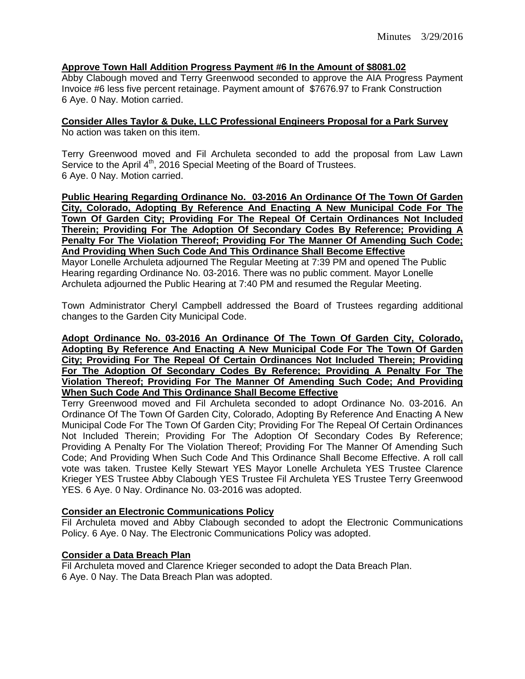#### **Approve Town Hall Addition Progress Payment #6 In the Amount of \$8081.02**

Abby Clabough moved and Terry Greenwood seconded to approve the AIA Progress Payment Invoice #6 less five percent retainage. Payment amount of \$7676.97 to Frank Construction 6 Aye. 0 Nay. Motion carried.

**Consider Alles Taylor & Duke, LLC Professional Engineers Proposal for a Park Survey** No action was taken on this item.

Terry Greenwood moved and Fil Archuleta seconded to add the proposal from Law Lawn Service to the April 4<sup>th</sup>, 2016 Special Meeting of the Board of Trustees. 6 Aye. 0 Nay. Motion carried.

**Public Hearing Regarding Ordinance No. 03-2016 An Ordinance Of The Town Of Garden City, Colorado, Adopting By Reference And Enacting A New Municipal Code For The Town Of Garden City; Providing For The Repeal Of Certain Ordinances Not Included Therein; Providing For The Adoption Of Secondary Codes By Reference; Providing A Penalty For The Violation Thereof; Providing For The Manner Of Amending Such Code; And Providing When Such Code And This Ordinance Shall Become Effective**

Mayor Lonelle Archuleta adjourned The Regular Meeting at 7:39 PM and opened The Public Hearing regarding Ordinance No. 03-2016. There was no public comment. Mayor Lonelle Archuleta adjourned the Public Hearing at 7:40 PM and resumed the Regular Meeting.

Town Administrator Cheryl Campbell addressed the Board of Trustees regarding additional changes to the Garden City Municipal Code.

**Adopt Ordinance No. 03-2016 An Ordinance Of The Town Of Garden City, Colorado, Adopting By Reference And Enacting A New Municipal Code For The Town Of Garden City; Providing For The Repeal Of Certain Ordinances Not Included Therein; Providing For The Adoption Of Secondary Codes By Reference; Providing A Penalty For The Violation Thereof; Providing For The Manner Of Amending Such Code; And Providing When Such Code And This Ordinance Shall Become Effective**

Terry Greenwood moved and Fil Archuleta seconded to adopt Ordinance No. 03-2016. An Ordinance Of The Town Of Garden City, Colorado, Adopting By Reference And Enacting A New Municipal Code For The Town Of Garden City; Providing For The Repeal Of Certain Ordinances Not Included Therein; Providing For The Adoption Of Secondary Codes By Reference; Providing A Penalty For The Violation Thereof; Providing For The Manner Of Amending Such Code; And Providing When Such Code And This Ordinance Shall Become Effective. A roll call vote was taken. Trustee Kelly Stewart YES Mayor Lonelle Archuleta YES Trustee Clarence Krieger YES Trustee Abby Clabough YES Trustee Fil Archuleta YES Trustee Terry Greenwood YES. 6 Aye. 0 Nay. Ordinance No. 03-2016 was adopted.

## **Consider an Electronic Communications Policy**

Fil Archuleta moved and Abby Clabough seconded to adopt the Electronic Communications Policy. 6 Aye. 0 Nay. The Electronic Communications Policy was adopted.

# **Consider a Data Breach Plan**

Fil Archuleta moved and Clarence Krieger seconded to adopt the Data Breach Plan. 6 Aye. 0 Nay. The Data Breach Plan was adopted.